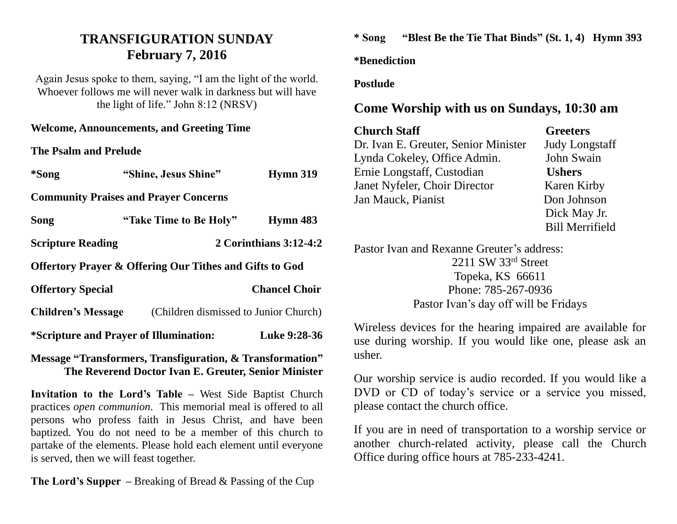## **TRANSFIGURATION SUNDAY February 7, 2016**

Again Jesus spoke to them, saying, "I am the light of the world. Whoever follows me will never walk in darkness but will have the light of life." John 8:12 (NRSV)

**Welcome, Announcements, and Greeting Time** 

**The Psalm and Prelude**

| *Song                     | "Shine, Jesus Shine"                                               | <b>Hymn 319</b>                       |  |
|---------------------------|--------------------------------------------------------------------|---------------------------------------|--|
|                           | <b>Community Praises and Prayer Concerns</b>                       |                                       |  |
| Song                      | "Take Time to Be Holy"                                             | Hymn 483                              |  |
| <b>Scripture Reading</b>  |                                                                    | 2 Corinthians 3:12-4:2                |  |
|                           | <b>Offertory Prayer &amp; Offering Our Tithes and Gifts to God</b> |                                       |  |
| <b>Offertory Special</b>  |                                                                    | <b>Chancel Choir</b>                  |  |
| <b>Children's Message</b> |                                                                    | (Children dismissed to Junior Church) |  |
|                           | *Scripture and Prayer of Illumination:                             | Luke 9:28-36                          |  |
|                           |                                                                    |                                       |  |

**Message "Transformers, Transfiguration, & Transformation" The Reverend Doctor Ivan E. Greuter, Senior Minister**

**Invitation to the Lord's Table –** West Side Baptist Church practices *open communion*. This memorial meal is offered to all persons who profess faith in Jesus Christ, and have been baptized. You do not need to be a member of this church to partake of the elements. Please hold each element until everyone is served, then we will feast together.

**The Lord's Supper –** Breaking of Bread & Passing of the Cup

**\* Song "Blest Be the Tie That Binds" (St. 1, 4) Hymn 393**

**\*Benediction**

**Postlude**

## **Come Worship with us on Sundays, 10:30 am**

| <b>Church Staff</b>                  | <b>Greeters</b>        |
|--------------------------------------|------------------------|
| Dr. Ivan E. Greuter, Senior Minister | <b>Judy Longstaff</b>  |
| Lynda Cokeley, Office Admin.         | John Swain             |
| Ernie Longstaff, Custodian           | <b>Ushers</b>          |
| Janet Nyfeler, Choir Director        | Karen Kirby            |
| Jan Mauck, Pianist                   | Don Johnson            |
|                                      | Dick May Jr.           |
|                                      | <b>Bill Merrifield</b> |

Pastor Ivan and Rexanne Greuter's address: 2211 SW 33rd Street Topeka, KS 66611 Phone: 785-267-0936 Pastor Ivan's day off will be Fridays

Wireless devices for the hearing impaired are available for use during worship. If you would like one, please ask an usher.

Our worship service is audio recorded. If you would like a DVD or CD of today's service or a service you missed, please contact the church office.

If you are in need of transportation to a worship service or another church-related activity, please call the Church Office during office hours at 785-233-4241.